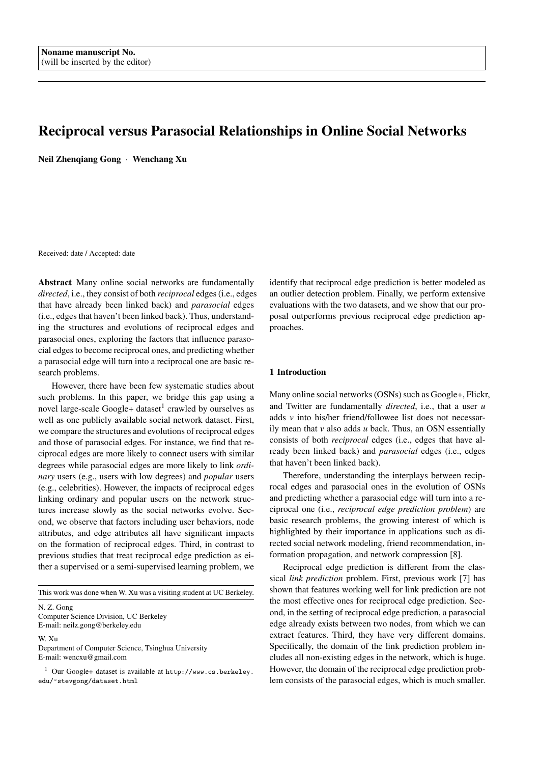# Reciprocal versus Parasocial Relationships in Online Social Networks

Neil Zhenqiang Gong · Wenchang Xu

Received: date / Accepted: date

Abstract Many online social networks are fundamentally *directed*, i.e., they consist of both *reciprocal* edges (i.e., edges that have already been linked back) and *parasocial* edges (i.e., edges that haven't been linked back). Thus, understanding the structures and evolutions of reciprocal edges and parasocial ones, exploring the factors that influence parasocial edges to become reciprocal ones, and predicting whether a parasocial edge will turn into a reciprocal one are basic research problems.

However, there have been few systematic studies about such problems. In this paper, we bridge this gap using a novel large-scale Google+ dataset<sup>1</sup> crawled by ourselves as well as one publicly available social network dataset. First, we compare the structures and evolutions of reciprocal edges and those of parasocial edges. For instance, we find that reciprocal edges are more likely to connect users with similar degrees while parasocial edges are more likely to link *ordinary* users (e.g., users with low degrees) and *popular* users (e.g., celebrities). However, the impacts of reciprocal edges linking ordinary and popular users on the network structures increase slowly as the social networks evolve. Second, we observe that factors including user behaviors, node attributes, and edge attributes all have significant impacts on the formation of reciprocal edges. Third, in contrast to previous studies that treat reciprocal edge prediction as either a supervised or a semi-supervised learning problem, we

This work was done when W. Xu was a visiting student at UC Berkeley.

N. Z. Gong Computer Science Division, UC Berkeley E-mail: neilz.gong@berkeley.edu

W. Xu

Department of Computer Science, Tsinghua University E-mail: wencxu@gmail.com

<sup>1</sup> Our Google+ dataset is available at  $http://www.cs.berkeley.$ edu/~stevgong/dataset.html

identify that reciprocal edge prediction is better modeled as an outlier detection problem. Finally, we perform extensive evaluations with the two datasets, and we show that our proposal outperforms previous reciprocal edge prediction approaches.

# 1 Introduction

Many online social networks (OSNs) such as Google+, Flickr, and Twitter are fundamentally *directed*, i.e., that a user *u* adds *v* into his/her friend/followee list does not necessarily mean that *v* also adds *u* back. Thus, an OSN essentially consists of both *reciprocal* edges (i.e., edges that have already been linked back) and *parasocial* edges (i.e., edges that haven't been linked back).

Therefore, understanding the interplays between reciprocal edges and parasocial ones in the evolution of OSNs and predicting whether a parasocial edge will turn into a reciprocal one (i.e., *reciprocal edge prediction problem*) are basic research problems, the growing interest of which is highlighted by their importance in applications such as directed social network modeling, friend recommendation, information propagation, and network compression [8].

Reciprocal edge prediction is different from the classical *link prediction* problem. First, previous work [7] has shown that features working well for link prediction are not the most effective ones for reciprocal edge prediction. Second, in the setting of reciprocal edge prediction, a parasocial edge already exists between two nodes, from which we can extract features. Third, they have very different domains. Specifically, the domain of the link prediction problem includes all non-existing edges in the network, which is huge. However, the domain of the reciprocal edge prediction problem consists of the parasocial edges, which is much smaller.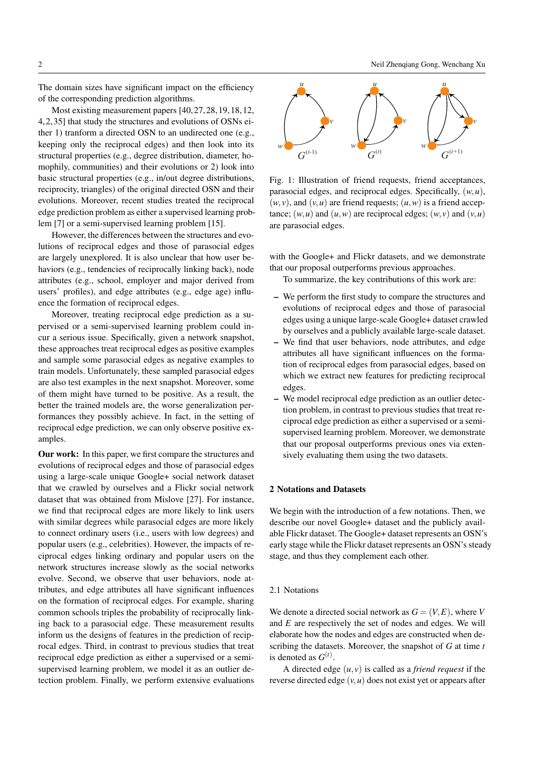The domain sizes have significant impact on the efficiency of the corresponding prediction algorithms.

Most existing measurement papers [40, 27, 28, 19, 18, 12, 4, 2, 35] that study the structures and evolutions of OSNs either 1) tranform a directed OSN to an undirected one (e.g., keeping only the reciprocal edges) and then look into its structural properties (e.g., degree distribution, diameter, homophily, communities) and their evolutions or 2) look into basic structural properties (e.g., in/out degree distributions, reciprocity, triangles) of the original directed OSN and their evolutions. Moreover, recent studies treated the reciprocal edge prediction problem as either a supervised learning problem [7] or a semi-supervised learning problem [15].

However, the differences between the structures and evolutions of reciprocal edges and those of parasocial edges are largely unexplored. It is also unclear that how user behaviors (e.g., tendencies of reciprocally linking back), node attributes (e.g., school, employer and major derived from users' profiles), and edge attributes (e.g., edge age) influence the formation of reciprocal edges.

Moreover, treating reciprocal edge prediction as a supervised or a semi-supervised learning problem could incur a serious issue. Specifically, given a network snapshot, these approaches treat reciprocal edges as positive examples and sample some parasocial edges as negative examples to train models. Unfortunately, these sampled parasocial edges are also test examples in the next snapshot. Moreover, some of them might have turned to be positive. As a result, the better the trained models are, the worse generalization performances they possibly achieve. In fact, in the setting of reciprocal edge prediction, we can only observe positive examples.

Our work: In this paper, we first compare the structures and evolutions of reciprocal edges and those of parasocial edges using a large-scale unique Google+ social network dataset that we crawled by ourselves and a Flickr social network dataset that was obtained from Mislove [27]. For instance, we find that reciprocal edges are more likely to link users with similar degrees while parasocial edges are more likely to connect ordinary users (i.e., users with low degrees) and popular users (e.g., celebrities). However, the impacts of reciprocal edges linking ordinary and popular users on the network structures increase slowly as the social networks evolve. Second, we observe that user behaviors, node attributes, and edge attributes all have significant influences on the formation of reciprocal edges. For example, sharing common schools triples the probability of reciprocally linking back to a parasocial edge. These measurement results inform us the designs of features in the prediction of reciprocal edges. Third, in contrast to previous studies that treat reciprocal edge prediction as either a supervised or a semisupervised learning problem, we model it as an outlier detection problem. Finally, we perform extensive evaluations



Fig. 1: Illustration of friend requests, friend acceptances, parasocial edges, and reciprocal edges. Specifically, (*w*,*u*),  $(w, v)$ , and  $(v, u)$  are friend requests;  $(u, w)$  is a friend acceptance;  $(w, u)$  and  $(u, w)$  are reciprocal edges;  $(w, v)$  and  $(v, u)$ are parasocial edges.

with the Google+ and Flickr datasets, and we demonstrate that our proposal outperforms previous approaches.

To summarize, the key contributions of this work are:

- We perform the first study to compare the structures and evolutions of reciprocal edges and those of parasocial edges using a unique large-scale Google+ dataset crawled by ourselves and a publicly available large-scale dataset.
- We find that user behaviors, node attributes, and edge attributes all have significant influences on the formation of reciprocal edges from parasocial edges, based on which we extract new features for predicting reciprocal edges.
- We model reciprocal edge prediction as an outlier detection problem, in contrast to previous studies that treat reciprocal edge prediction as either a supervised or a semisupervised learning problem. Moreover, we demonstrate that our proposal outperforms previous ones via extensively evaluating them using the two datasets.

## 2 Notations and Datasets

We begin with the introduction of a few notations. Then, we describe our novel Google+ dataset and the publicly available Flickr dataset. The Google+ dataset represents an OSN's early stage while the Flickr dataset represents an OSN's steady stage, and thus they complement each other.

# 2.1 Notations

We denote a directed social network as  $G = (V, E)$ , where *V* and *E* are respectively the set of nodes and edges. We will elaborate how the nodes and edges are constructed when describing the datasets. Moreover, the snapshot of *G* at time *t* is denoted as  $G^{(t)}$ .

A directed edge  $(u, v)$  is called as a *friend request* if the reverse directed edge  $(v, u)$  does not exist yet or appears after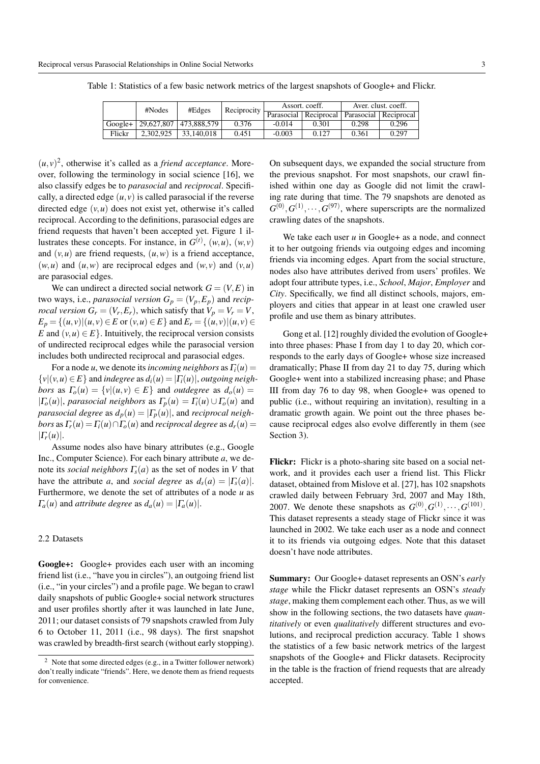|        | #Nodes    | #Edges                             | Reciprocity | Assort. coeff. |                                             | Aver. clust. coeff. |       |
|--------|-----------|------------------------------------|-------------|----------------|---------------------------------------------|---------------------|-------|
|        |           |                                    |             |                | Parasocial Reciprocal Parasocial Reciprocal |                     |       |
|        |           | Google+   29.627.807   473.888.579 | 0.376       | $-0.014$       | 0.301                                       | 0.298               | 0.296 |
| Flickr | 2.302.925 | 33,140,018                         | 0.451       | $-0.003$       | 0.127                                       | 0.361               | 0.297 |

Table 1: Statistics of a few basic network metrics of the largest snapshots of Google+ and Flickr.

 $(u, v)<sup>2</sup>$ , otherwise it's called as a *friend acceptance*. Moreover, following the terminology in social science [16], we also classify edges be to *parasocial* and *reciprocal*. Specifically, a directed edge  $(u, v)$  is called parasocial if the reverse directed edge  $(v, u)$  does not exist yet, otherwise it's called reciprocal. According to the definitions, parasocial edges are friend requests that haven't been accepted yet. Figure 1 illustrates these concepts. For instance, in  $G^{(t)}$ ,  $(w, u)$ ,  $(w, v)$ and  $(v, u)$  are friend requests,  $(u, w)$  is a friend acceptance,  $(w, u)$  and  $(u, w)$  are reciprocal edges and  $(w, v)$  and  $(v, u)$ are parasocial edges.

We can undirect a directed social network  $G = (V, E)$  in two ways, i.e., *parasocial version*  $G_p = (V_p, E_p)$  and *reciprocal version*  $G_r = (V_r, E_r)$ , which satisfy that  $V_p = V_r = V$ ,  $E_p = \{(u, v) | (u, v) \in E \text{ or } (v, u) \in E\}$  and  $E_r = \{(u, v) | (u, v) \in E\}$ *E* and  $(v, u) \in E$ . Intuitively, the reciprocal version consists of undirected reciprocal edges while the parasocial version includes both undirected reciprocal and parasocial edges.

For a node *u*, we denote its *incoming neighbors* as  $\Gamma_i(u) =$  $\{v | (v, u) \in E\}$  and *indegree* as  $d_i(u) = |\Gamma_i(u)|$ , *outgoing neighbors* as  $\Gamma_o(u) = \{v | (u, v) \in E\}$  and *outdegree* as  $d_o(u) =$  $|\Gamma_o(u)|$ , *parasocial neighbors* as  $\Gamma_p(u) = \Gamma_i(u) \cup \Gamma_o(u)$  and *parasocial degree* as  $d_p(u) = |\Gamma_p(u)|$ , and *reciprocal neighbors* as  $\Gamma_r(u) = \Gamma_i(u) \cap \Gamma_o(u)$  and *reciprocal degree* as  $d_r(u) =$  $|\Gamma_r(u)|$ .

Assume nodes also have binary attributes (e.g., Google Inc., Computer Science). For each binary attribute *a*, we denote its *social neighbors*  $\Gamma$ <sub>*s*</sub>(*a*) as the set of nodes in *V* that have the attribute *a*, and *social degree* as  $d_s(a) = |\Gamma_s(a)|$ . Furthermore, we denote the set of attributes of a node *u* as  $\Gamma_a(u)$  and *attribute degree* as  $d_a(u) = |\Gamma_a(u)|$ .

# 2.2 Datasets

Google+: Google+ provides each user with an incoming friend list (i.e., "have you in circles"), an outgoing friend list (i.e., "in your circles") and a profile page. We began to crawl daily snapshots of public Google+ social network structures and user profiles shortly after it was launched in late June, 2011; our dataset consists of 79 snapshots crawled from July 6 to October 11, 2011 (i.e., 98 days). The first snapshot was crawled by breadth-first search (without early stopping).

On subsequent days, we expanded the social structure from the previous snapshot. For most snapshots, our crawl finished within one day as Google did not limit the crawling rate during that time. The 79 snapshots are denoted as  $G^{(0)}, G^{(1)}, \cdots, G^{(97)}$ , where superscripts are the normalized crawling dates of the snapshots.

We take each user *u* in Google+ as a node, and connect it to her outgoing friends via outgoing edges and incoming friends via incoming edges. Apart from the social structure, nodes also have attributes derived from users' profiles. We adopt four attribute types, i.e., *School*, *Major*, *Employer* and *City*. Specifically, we find all distinct schools, majors, employers and cities that appear in at least one crawled user profile and use them as binary attributes.

Gong et al. [12] roughly divided the evolution of Google+ into three phases: Phase I from day 1 to day 20, which corresponds to the early days of Google+ whose size increased dramatically; Phase II from day 21 to day 75, during which Google+ went into a stabilized increasing phase; and Phase III from day 76 to day 98, when Google+ was opened to public (i.e., without requiring an invitation), resulting in a dramatic growth again. We point out the three phases because reciprocal edges also evolve differently in them (see Section 3).

Flickr: Flickr is a photo-sharing site based on a social network, and it provides each user a friend list. This Flickr dataset, obtained from Mislove et al. [27], has 102 snapshots crawled daily between February 3rd, 2007 and May 18th, 2007. We denote these snapshots as  $G^{(0)}, G^{(1)}, \cdots, G^{(101)}$ . This dataset represents a steady stage of Flickr since it was launched in 2002. We take each user as a node and connect it to its friends via outgoing edges. Note that this dataset doesn't have node attributes.

Summary: Our Google+ dataset represents an OSN's *early stage* while the Flickr dataset represents an OSN's *steady stage*, making them complement each other. Thus, as we will show in the following sections, the two datasets have *quantitatively* or even *qualitatively* different structures and evolutions, and reciprocal prediction accuracy. Table 1 shows the statistics of a few basic network metrics of the largest snapshots of the Google+ and Flickr datasets. Reciprocity in the table is the fraction of friend requests that are already accepted.

Note that some directed edges (e.g., in a Twitter follower network) don't really indicate "friends". Here, we denote them as friend requests for convenience.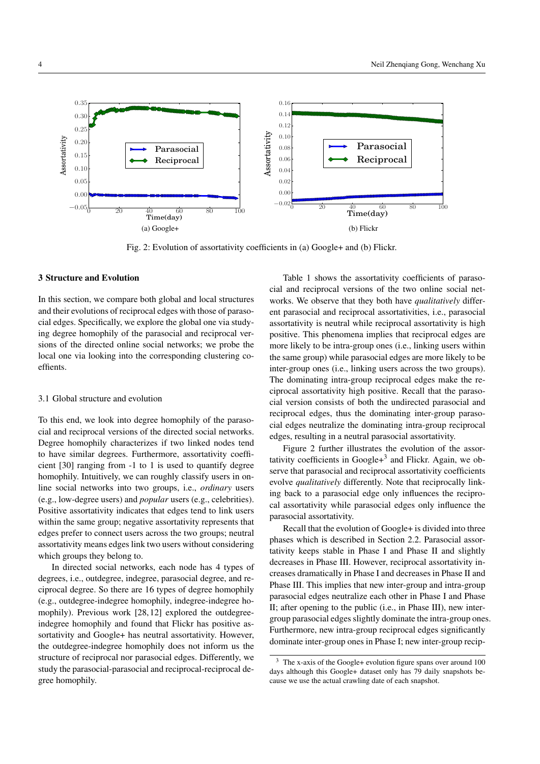

Fig. 2: Evolution of assortativity coefficients in (a) Google+ and (b) Flickr.

# 3 Structure and Evolution

In this section, we compare both global and local structures and their evolutions of reciprocal edges with those of parasocial edges. Specifically, we explore the global one via studying degree homophily of the parasocial and reciprocal versions of the directed online social networks; we probe the local one via looking into the corresponding clustering coeffients.

## 3.1 Global structure and evolution

To this end, we look into degree homophily of the parasocial and reciprocal versions of the directed social networks. Degree homophily characterizes if two linked nodes tend to have similar degrees. Furthermore, assortativity coefficient [30] ranging from -1 to 1 is used to quantify degree homophily. Intuitively, we can roughly classify users in online social networks into two groups, i.e., *ordinary* users (e.g., low-degree users) and *popular* users (e.g., celebrities). Positive assortativity indicates that edges tend to link users within the same group; negative assortativity represents that edges prefer to connect users across the two groups; neutral assortativity means edges link two users without considering which groups they belong to.

In directed social networks, each node has 4 types of degrees, i.e., outdegree, indegree, parasocial degree, and reciprocal degree. So there are 16 types of degree homophily (e.g., outdegree-indegree homophily, indegree-indegree homophily). Previous work [28, 12] explored the outdegreeindegree homophily and found that Flickr has positive assortativity and Google+ has neutral assortativity. However, the outdegree-indegree homophily does not inform us the structure of reciprocal nor parasocial edges. Differently, we study the parasocial-parasocial and reciprocal-reciprocal degree homophily.

Table 1 shows the assortativity coefficients of parasocial and reciprocal versions of the two online social networks. We observe that they both have *qualitatively* different parasocial and reciprocal assortativities, i.e., parasocial assortativity is neutral while reciprocal assortativity is high positive. This phenomena implies that reciprocal edges are more likely to be intra-group ones (i.e., linking users within the same group) while parasocial edges are more likely to be inter-group ones (i.e., linking users across the two groups). The dominating intra-group reciprocal edges make the reciprocal assortativity high positive. Recall that the parasocial version consists of both the undirected parasocial and reciprocal edges, thus the dominating inter-group parasocial edges neutralize the dominating intra-group reciprocal edges, resulting in a neutral parasocial assortativity.

Figure 2 further illustrates the evolution of the assortativity coefficients in Google $+<sup>3</sup>$  and Flickr. Again, we observe that parasocial and reciprocal assortativity coefficients evolve *qualitatively* differently. Note that reciprocally linking back to a parasocial edge only influences the reciprocal assortativity while parasocial edges only influence the parasocial assortativity.

Recall that the evolution of Google+ is divided into three phases which is described in Section 2.2. Parasocial assortativity keeps stable in Phase I and Phase II and slightly decreases in Phase III. However, reciprocal assortativity increases dramatically in Phase I and decreases in Phase II and Phase III. This implies that new inter-group and intra-group parasocial edges neutralize each other in Phase I and Phase II; after opening to the public (i.e., in Phase III), new intergroup parasocial edges slightly dominate the intra-group ones. Furthermore, new intra-group reciprocal edges significantly dominate inter-group ones in Phase I; new inter-group recip-

The x-axis of the Google+ evolution figure spans over around 100 days although this Google+ dataset only has 79 daily snapshots because we use the actual crawling date of each snapshot.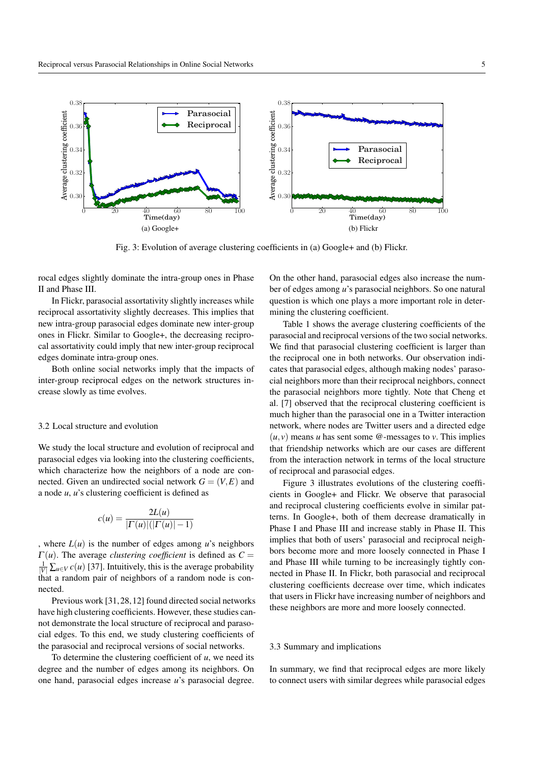

Fig. 3: Evolution of average clustering coefficients in (a) Google+ and (b) Flickr.

rocal edges slightly dominate the intra-group ones in Phase II and Phase III.

In Flickr, parasocial assortativity slightly increases while reciprocal assortativity slightly decreases. This implies that new intra-group parasocial edges dominate new inter-group ones in Flickr. Similar to Google+, the decreasing reciprocal assortativity could imply that new inter-group reciprocal edges dominate intra-group ones.

Both online social networks imply that the impacts of inter-group reciprocal edges on the network structures increase slowly as time evolves.

## 3.2 Local structure and evolution

We study the local structure and evolution of reciprocal and parasocial edges via looking into the clustering coefficients, which characterize how the neighbors of a node are connected. Given an undirected social network  $G = (V, E)$  and a node *u*, *u*'s clustering coefficient is defined as

$$
c(u) = \frac{2L(u)}{|\Gamma(u)|(|\Gamma(u)|-1)}
$$

, where  $L(u)$  is the number of edges among *u*'s neighbors  $\Gamma(u)$ . The average *clustering coefficient* is defined as  $C =$  $\frac{1}{|V|} \sum_{u \in V} c(u)$  [37]. Intuitively, this is the average probability that a random pair of neighbors of a random node is connected.

Previous work [31, 28, 12] found directed social networks have high clustering coefficients. However, these studies cannot demonstrate the local structure of reciprocal and parasocial edges. To this end, we study clustering coefficients of the parasocial and reciprocal versions of social networks.

To determine the clustering coefficient of *u*, we need its degree and the number of edges among its neighbors. On one hand, parasocial edges increase *u*'s parasocial degree.

On the other hand, parasocial edges also increase the number of edges among *u*'s parasocial neighbors. So one natural question is which one plays a more important role in determining the clustering coefficient.

Table 1 shows the average clustering coefficients of the parasocial and reciprocal versions of the two social networks. We find that parasocial clustering coefficient is larger than the reciprocal one in both networks. Our observation indicates that parasocial edges, although making nodes' parasocial neighbors more than their reciprocal neighbors, connect the parasocial neighbors more tightly. Note that Cheng et al. [7] observed that the reciprocal clustering coefficient is much higher than the parasocial one in a Twitter interaction network, where nodes are Twitter users and a directed edge  $(u, v)$  means *u* has sent some  $\omega$ -messages to *v*. This implies that friendship networks which are our cases are different from the interaction network in terms of the local structure of reciprocal and parasocial edges.

Figure 3 illustrates evolutions of the clustering coefficients in Google+ and Flickr. We observe that parasocial and reciprocal clustering coefficients evolve in similar patterns. In Google+, both of them decrease dramatically in Phase I and Phase III and increase stably in Phase II. This implies that both of users' parasocial and reciprocal neighbors become more and more loosely connected in Phase I and Phase III while turning to be increasingly tightly connected in Phase II. In Flickr, both parasocial and reciprocal clustering coefficients decrease over time, which indicates that users in Flickr have increasing number of neighbors and these neighbors are more and more loosely connected.

## 3.3 Summary and implications

In summary, we find that reciprocal edges are more likely to connect users with similar degrees while parasocial edges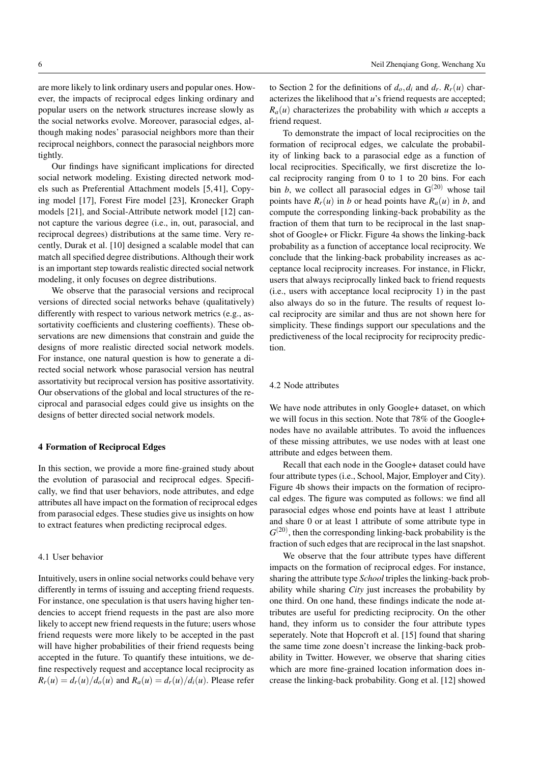are more likely to link ordinary users and popular ones. However, the impacts of reciprocal edges linking ordinary and popular users on the network structures increase slowly as the social networks evolve. Moreover, parasocial edges, although making nodes' parasocial neighbors more than their reciprocal neighbors, connect the parasocial neighbors more tightly.

Our findings have significant implications for directed social network modeling. Existing directed network models such as Preferential Attachment models [5, 41], Copying model [17], Forest Fire model [23], Kronecker Graph models [21], and Social-Attribute network model [12] cannot capture the various degree (i.e., in, out, parasocial, and reciprocal degrees) distributions at the same time. Very recently, Durak et al. [10] designed a scalable model that can match all specified degree distributions. Although their work is an important step towards realistic directed social network modeling, it only focuses on degree distributions.

We observe that the parasocial versions and reciprocal versions of directed social networks behave (qualitatively) differently with respect to various network metrics (e.g., assortativity coefficients and clustering coeffients). These observations are new dimensions that constrain and guide the designs of more realistic directed social network models. For instance, one natural question is how to generate a directed social network whose parasocial version has neutral assortativity but reciprocal version has positive assortativity. Our observations of the global and local structures of the reciprocal and parasocial edges could give us insights on the designs of better directed social network models.

#### 4 Formation of Reciprocal Edges

In this section, we provide a more fine-grained study about the evolution of parasocial and reciprocal edges. Specifically, we find that user behaviors, node attributes, and edge attributes all have impact on the formation of reciprocal edges from parasocial edges. These studies give us insights on how to extract features when predicting reciprocal edges.

#### 4.1 User behavior

Intuitively, users in online social networks could behave very differently in terms of issuing and accepting friend requests. For instance, one speculation is that users having higher tendencies to accept friend requests in the past are also more likely to accept new friend requests in the future; users whose friend requests were more likely to be accepted in the past will have higher probabilities of their friend requests being accepted in the future. To quantify these intuitions, we define respectively request and acceptance local reciprocity as  $R_r(u) = d_r(u)/d_o(u)$  and  $R_a(u) = d_r(u)/d_i(u)$ . Please refer

to Section 2 for the definitions of  $d_o, d_i$  and  $d_r$ .  $R_r(u)$  characterizes the likelihood that *u*'s friend requests are accepted;  $R_a(u)$  characterizes the probability with which *u* accepts a friend request.

To demonstrate the impact of local reciprocities on the formation of reciprocal edges, we calculate the probability of linking back to a parasocial edge as a function of local reciprocities. Specifically, we first discretize the local reciprocity ranging from 0 to 1 to 20 bins. For each bin  $b$ , we collect all parasocial edges in  $G^{(20)}$  whose tail points have  $R_r(u)$  in *b* or head points have  $R_a(u)$  in *b*, and compute the corresponding linking-back probability as the fraction of them that turn to be reciprocal in the last snapshot of Google+ or Flickr. Figure 4a shows the linking-back probability as a function of acceptance local reciprocity. We conclude that the linking-back probability increases as acceptance local reciprocity increases. For instance, in Flickr, users that always reciprocally linked back to friend requests (i.e., users with acceptance local reciprocity 1) in the past also always do so in the future. The results of request local reciprocity are similar and thus are not shown here for simplicity. These findings support our speculations and the predictiveness of the local reciprocity for reciprocity prediction.

# 4.2 Node attributes

We have node attributes in only Google+ dataset, on which we will focus in this section. Note that 78% of the Google+ nodes have no available attributes. To avoid the influences of these missing attributes, we use nodes with at least one attribute and edges between them.

Recall that each node in the Google+ dataset could have four attribute types (i.e., School, Major, Employer and City). Figure 4b shows their impacts on the formation of reciprocal edges. The figure was computed as follows: we find all parasocial edges whose end points have at least 1 attribute and share 0 or at least 1 attribute of some attribute type in  $G<sup>(20)</sup>$ , then the corresponding linking-back probability is the fraction of such edges that are reciprocal in the last snapshot.

We observe that the four attribute types have different impacts on the formation of reciprocal edges. For instance, sharing the attribute type *School* triples the linking-back probability while sharing *City* just increases the probability by one third. On one hand, these findings indicate the node attributes are useful for predicting reciprocity. On the other hand, they inform us to consider the four attribute types seperately. Note that Hopcroft et al. [15] found that sharing the same time zone doesn't increase the linking-back probability in Twitter. However, we observe that sharing cities which are more fine-grained location information does increase the linking-back probability. Gong et al. [12] showed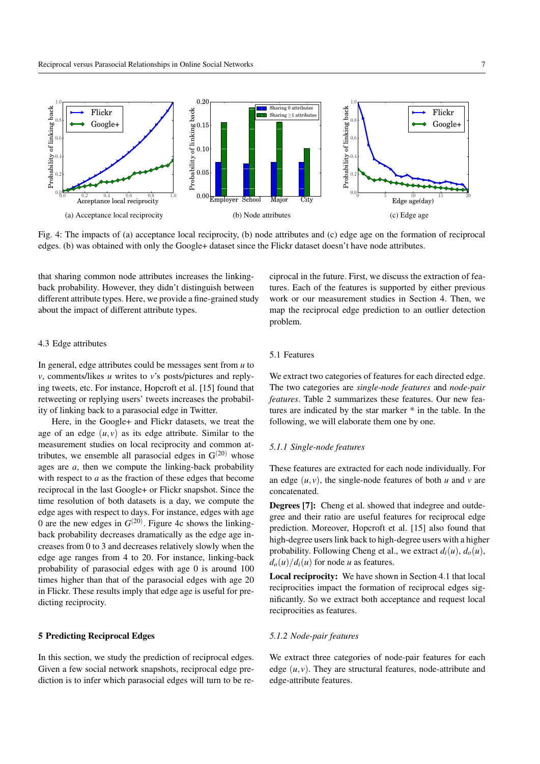

Fig. 4: The impacts of (a) acceptance local reciprocity, (b) node attributes and (c) edge age on the formation of reciprocal edges. (b) was obtained with only the Google+ dataset since the Flickr dataset doesn't have node attributes.

that sharing common node attributes increases the linkingback probability. However, they didn't distinguish between different attribute types. Here, we provide a fine-grained study about the impact of different attribute types.

# 4.3 Edge attributes

In general, edge attributes could be messages sent from *u* to *v*, comments/likes *u* writes to *v*'s posts/pictures and replying tweets, etc. For instance, Hopcroft et al. [15] found that retweeting or replying users' tweets increases the probability of linking back to a parasocial edge in Twitter.

Here, in the Google+ and Flickr datasets, we treat the age of an edge  $(u, v)$  as its edge attribute. Similar to the measurement studies on local reciprocity and common attributes, we ensemble all parasocial edges in  $G^{(20)}$  whose ages are *a*, then we compute the linking-back probability with respect to *a* as the fraction of these edges that become reciprocal in the last Google+ or Flickr snapshot. Since the time resolution of both datasets is a day, we compute the edge ages with respect to days. For instance, edges with age 0 are the new edges in  $G^{(20)}$ . Figure 4c shows the linkingback probability decreases dramatically as the edge age increases from 0 to 3 and decreases relatively slowly when the edge age ranges from 4 to 20. For instance, linking-back probability of parasocial edges with age 0 is around 100 times higher than that of the parasocial edges with age 20 in Flickr. These results imply that edge age is useful for predicting reciprocity.

#### 5 Predicting Reciprocal Edges

In this section, we study the prediction of reciprocal edges. Given a few social network snapshots, reciprocal edge prediction is to infer which parasocial edges will turn to be reciprocal in the future. First, we discuss the extraction of features. Each of the features is supported by either previous work or our measurement studies in Section 4. Then, we map the reciprocal edge prediction to an outlier detection problem.

# 5.1 Features

We extract two categories of features for each directed edge. The two categories are *single-node features* and *node-pair features*. Table 2 summarizes these features. Our new features are indicated by the star marker \* in the table. In the following, we will elaborate them one by one.

#### *5.1.1 Single-node features*

These features are extracted for each node individually. For an edge  $(u, v)$ , the single-node features of both  $u$  and  $v$  are concatenated.

Degrees [7]: Cheng et al. showed that indegree and outdegree and their ratio are useful features for reciprocal edge prediction. Moreover, Hopcroft et al. [15] also found that high-degree users link back to high-degree users with a higher probability. Following Cheng et al., we extract  $d_i(u)$ ,  $d_o(u)$ ,  $d_o(u)/d_i(u)$  for node *u* as features.

Local reciprocity: We have shown in Section 4.1 that local reciprocities impact the formation of reciprocal edges significantly. So we extract both acceptance and request local reciprocities as features.

#### *5.1.2 Node-pair features*

We extract three categories of node-pair features for each edge  $(u, v)$ . They are structural features, node-attribute and edge-attribute features.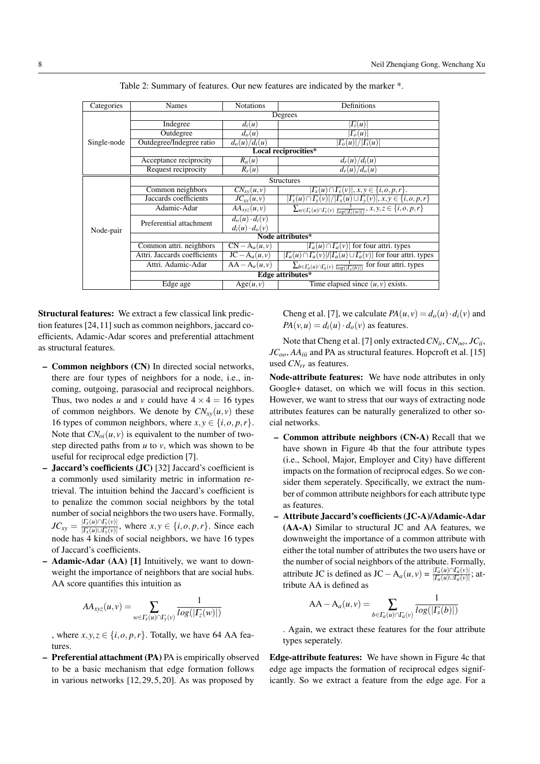| <b>Names</b>                |                                                         | Definitions                                                                                                                            |  |  |  |  |
|-----------------------------|---------------------------------------------------------|----------------------------------------------------------------------------------------------------------------------------------------|--|--|--|--|
| Degrees                     |                                                         |                                                                                                                                        |  |  |  |  |
| Indegree                    | $d_i(u)$                                                | $\Gamma_i(u)$                                                                                                                          |  |  |  |  |
| Outdegree                   | $d_o(u)$                                                | $\Gamma_o(u)$                                                                                                                          |  |  |  |  |
| Outdegree/Indegree ratio    | $d_o(u)/d_i(u)$                                         | $ \Gamma_o(u) / \Gamma_i(u) $                                                                                                          |  |  |  |  |
| <b>Local reciprocities*</b> |                                                         |                                                                                                                                        |  |  |  |  |
| Acceptance reciprocity      | $R_a(u)$                                                | $d_r(u)/d_i(u)$                                                                                                                        |  |  |  |  |
| Request reciprocity         | $R_r(u)$                                                | $d_r(u)/d_o(u)$                                                                                                                        |  |  |  |  |
| <b>Structures</b>           |                                                         |                                                                                                                                        |  |  |  |  |
| Common neighbors            | $\overline{CN_{xy}}(u,v)$                               | $ \Gamma_x(u) \cap \Gamma_y(v) , x, y \in \{i, o, p, r\}.$                                                                             |  |  |  |  |
| Jaccards coefficients       | $\overline{JC}_{xy}(u,v)$                               | $ \overline{\Gamma_x(u)} \cap \overline{\Gamma_y(v)}  /  \overline{\Gamma_x(u)} \cup \overline{\Gamma_y(v)} , x, y \in \{i, o, p, r\}$ |  |  |  |  |
| Adamic-Adar                 | $AA_{xyz}(u, v)$                                        | $\sum_{w \in \Gamma_x(u) \cap \Gamma_y(v)} \frac{1}{\log( E(w) )}, x, y, z \in \{i, o, p, r\}$                                         |  |  |  |  |
|                             | $d_o(u) \cdot d_i(v)$                                   |                                                                                                                                        |  |  |  |  |
|                             | $d_i(u) \cdot d_o(v)$                                   |                                                                                                                                        |  |  |  |  |
| Node attributes*            |                                                         |                                                                                                                                        |  |  |  |  |
| Common attri. neighbors     |                                                         | for four attri. types<br>$ \Gamma_a(u) \cap \Gamma_a(v) $                                                                              |  |  |  |  |
|                             |                                                         | $ \Gamma_a(u) \cap \Gamma_a(v) / \Gamma_a(u) \cup \Gamma_a(v) $ for four attri. types                                                  |  |  |  |  |
| Attri. Adamic-Adar          |                                                         | for four attri. types<br>$\sum_{b \in \Gamma_a(u) \cap \Gamma_a(v)} \frac{1}{log( \Gamma_s(b) )}$                                      |  |  |  |  |
| Edge attributes*            |                                                         |                                                                                                                                        |  |  |  |  |
| Edge age                    | Age(u, v)                                               | Time elapsed since $(u, v)$ exists.                                                                                                    |  |  |  |  |
|                             | Preferential attachment<br>Attri. Jaccards coefficients | <b>Notations</b><br>$\overline{\text{CN}} - \text{A}_a(u, v)$<br>$\overline{JC} - A_a(u, v)$<br>$\overline{A}A - A_a(u, v)$            |  |  |  |  |

Table 2: Summary of features. Our new features are indicated by the marker \*.

Structural features: We extract a few classical link prediction features [24, 11] such as common neighbors, jaccard coefficients, Adamic-Adar scores and preferential attachment as structural features.

- Common neighbors (CN) In directed social networks, there are four types of neighbors for a node, i.e., incoming, outgoing, parasocial and reciprocal neighbors. Thus, two nodes *u* and *v* could have  $4 \times 4 = 16$  types of common neighbors. We denote by  $CN_{xy}(u, v)$  these 16 types of common neighbors, where  $x, y \in \{i, o, p, r\}$ . Note that  $CN_{oi}(u, v)$  is equivalent to the number of twostep directed paths from *u* to *v*, which was shown to be useful for reciprocal edge prediction [7].
- Jaccard's coefficients (JC) [32] Jaccard's coefficient is a commonly used similarity metric in information retrieval. The intuition behind the Jaccard's coefficient is to penalize the common social neighbors by the total number of social neighbors the two users have. Formally,  $JC_{xy} = \frac{|\Gamma_x(u) \cap \Gamma_y(v)|}{|\Gamma_x(u) \cup \Gamma_x(v)|}$  $\frac{|I_x(u)|}{|I_x(u) \cup I_y(v)|}$ , where  $x, y \in \{i, o, p, r\}$ . Since each node has 4 kinds of social neighbors, we have 16 types of Jaccard's coefficients.
- Adamic-Adar (AA) [1] Intuitively, we want to downweight the importance of neighbors that are social hubs. AA score quantifies this intuition as

$$
AA_{xyz}(u,v) = \sum_{w \in \Gamma_x(u) \cap \Gamma_y(v)} \frac{1}{log(|\Gamma_z(w)|)}
$$

, where  $x, y, z \in \{i, o, p, r\}$ . Totally, we have 64 AA features.

– Preferential attachment (PA) PA is empirically observed to be a basic mechanism that edge formation follows in various networks  $[12, 29, 5, 20]$ . As was proposed by

Cheng et al. [7], we calculate  $PA(u, v) = d<sub>o</sub>(u) \cdot d_i(v)$  and  $PA(v, u) = d_i(u) \cdot d_o(v)$  as features.

Note that Cheng et al. [7] only extracted*CNii*,*CNoo*, *JCii*, *JCoo*, *AAiii* and PA as structural features. Hopcroft et al. [15] used *CNrr* as features.

Node-attribute features: We have node attributes in only Google+ dataset, on which we will focus in this section. However, we want to stress that our ways of extracting node attributes features can be naturally generalized to other social networks.

- Common attribute neighbors (CN-A) Recall that we have shown in Figure 4b that the four attribute types (i.e., School, Major, Employer and City) have different impacts on the formation of reciprocal edges. So we consider them seperately. Specifically, we extract the number of common attribute neighbors for each attribute type as features.
- Attribute Jaccard's coefficients (JC-A)/Adamic-Adar (AA-A) Similar to structural JC and AA features, we downweight the importance of a common attribute with either the total number of attributes the two users have or the number of social neighbors of the attribute. Formally, attribute JC is defined as JC –  $A_a(u, v) = \frac{\left| \prod_a(u) \cap \prod_a(v) \right|}{\left| \prod_a(u) \cup \prod_a(v) \right|}$  $\frac{|I_a(u)|}{|I_a(u)\cup I_a(v)|}$ ; attribute AA is defined as

$$
AA - A_a(u, v) = \sum_{b \in \Gamma_a(u) \cap \Gamma_a(v)} \frac{1}{log(|\Gamma_s(b)|)}
$$

. Again, we extract these features for the four attribute types seperately.

Edge-attribute features: We have shown in Figure 4c that edge age impacts the formation of reciprocal edges significantly. So we extract a feature from the edge age. For a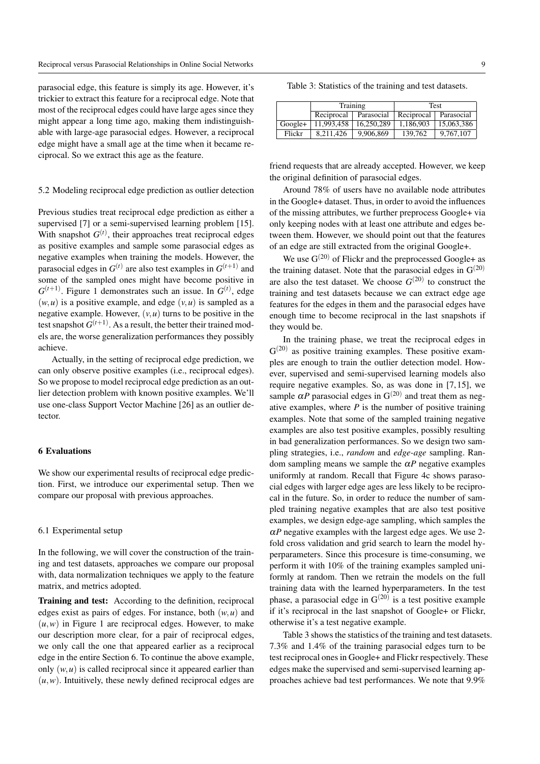parasocial edge, this feature is simply its age. However, it's trickier to extract this feature for a reciprocal edge. Note that most of the reciprocal edges could have large ages since they might appear a long time ago, making them indistinguishable with large-age parasocial edges. However, a reciprocal edge might have a small age at the time when it became reciprocal. So we extract this age as the feature.

#### 5.2 Modeling reciprocal edge prediction as outlier detection

Previous studies treat reciprocal edge prediction as either a supervised [7] or a semi-supervised learning problem [15]. With snapshot  $G^{(t)}$ , their approaches treat reciprocal edges as positive examples and sample some parasocial edges as negative examples when training the models. However, the parasocial edges in  $G^{(t)}$  are also test examples in  $G^{(t+1)}$  and some of the sampled ones might have become positive in  $G^{(t+1)}$ . Figure 1 demonstrates such an issue. In  $G^{(t)}$ , edge  $(w, u)$  is a positive example, and edge  $(v, u)$  is sampled as a negative example. However,  $(v, u)$  turns to be positive in the test snapshot  $G^{(t+1)}$ . As a result, the better their trained models are, the worse generalization performances they possibly achieve.

Actually, in the setting of reciprocal edge prediction, we can only observe positive examples (i.e., reciprocal edges). So we propose to model reciprocal edge prediction as an outlier detection problem with known positive examples. We'll use one-class Support Vector Machine [26] as an outlier detector.

# 6 Evaluations

We show our experimental results of reciprocal edge prediction. First, we introduce our experimental setup. Then we compare our proposal with previous approaches.

#### 6.1 Experimental setup

In the following, we will cover the construction of the training and test datasets, approaches we compare our proposal with, data normalization techniques we apply to the feature matrix, and metrics adopted.

Training and test: According to the definition, reciprocal edges exist as pairs of edges. For instance, both (*w*,*u*) and  $(u, w)$  in Figure 1 are reciprocal edges. However, to make our description more clear, for a pair of reciprocal edges, we only call the one that appeared earlier as a reciprocal edge in the entire Section 6. To continue the above example, only  $(w, u)$  is called reciprocal since it appeared earlier than  $(u, w)$ . Intuitively, these newly defined reciprocal edges are

|         |            | Training   | <b>Test</b> |            |  |
|---------|------------|------------|-------------|------------|--|
|         | Reciprocal | Parasocial | Reciprocal  | Parasocial |  |
| Google+ | 11,993,458 | 16,250,289 | 1.186.903   | 15,063,386 |  |
| Flickr  | 8.211.426  | 9.906.869  | 139.762     | 9.767.107  |  |

friend requests that are already accepted. However, we keep the original definition of parasocial edges.

Around 78% of users have no available node attributes in the Google+ dataset. Thus, in order to avoid the influences of the missing attributes, we further preprocess Google+ via only keeping nodes with at least one attribute and edges between them. However, we should point out that the features of an edge are still extracted from the original Google+.

We use  $G^{(20)}$  of Flickr and the preprocessed Google+ as the training dataset. Note that the parasocial edges in  $G^{(20)}$ are also the test dataset. We choose  $G^{(20)}$  to construct the training and test datasets because we can extract edge age features for the edges in them and the parasocial edges have enough time to become reciprocal in the last snapshots if they would be.

In the training phase, we treat the reciprocal edges in  $G^{(20)}$  as positive training examples. These positive examples are enough to train the outlier detection model. However, supervised and semi-supervised learning models also require negative examples. So, as was done in [7, 15], we sample  $\alpha P$  parasocial edges in  $G^{(20)}$  and treat them as negative examples, where  $P$  is the number of positive training examples. Note that some of the sampled training negative examples are also test positive examples, possibly resulting in bad generalization performances. So we design two sampling strategies, i.e., *random* and *edge-age* sampling. Random sampling means we sample the  $\alpha P$  negative examples uniformly at random. Recall that Figure 4c shows parasocial edges with larger edge ages are less likely to be reciprocal in the future. So, in order to reduce the number of sampled training negative examples that are also test positive examples, we design edge-age sampling, which samples the  $\alpha P$  negative examples with the largest edge ages. We use 2fold cross validation and grid search to learn the model hyperparameters. Since this procesure is time-consuming, we perform it with 10% of the training examples sampled uniformly at random. Then we retrain the models on the full training data with the learned hyperparameters. In the test phase, a parasocial edge in  $G^{(20)}$  is a test positive example if it's reciprocal in the last snapshot of Google+ or Flickr, otherwise it's a test negative example.

Table 3 shows the statistics of the training and test datasets. 7.3% and 1.4% of the training parasocial edges turn to be test reciprocal ones in Google+ and Flickr respectively. These edges make the supervised and semi-supervised learning approaches achieve bad test performances. We note that 9.9%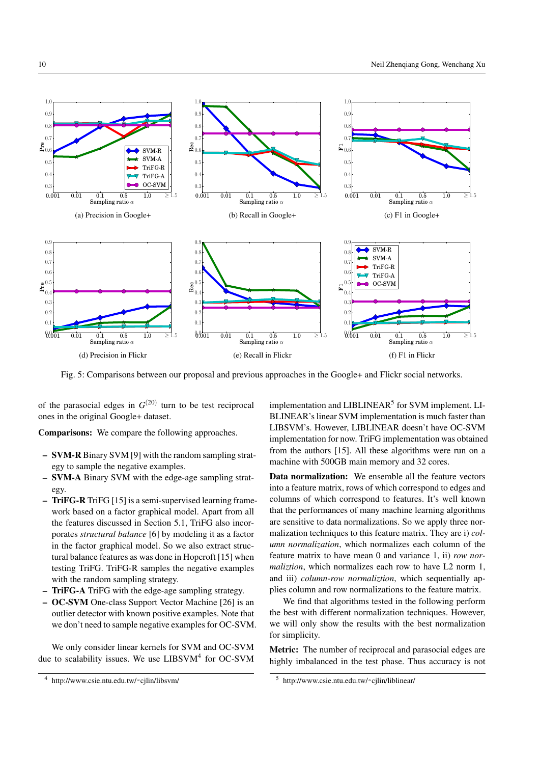

Fig. 5: Comparisons between our proposal and previous approaches in the Google+ and Flickr social networks.

of the parasocial edges in  $G^{(20)}$  turn to be test reciprocal ones in the original Google+ dataset.

Comparisons: We compare the following approaches.

- SVM-R Binary SVM [9] with the random sampling strategy to sample the negative examples.
- SVM-A Binary SVM with the edge-age sampling strategy.
- TriFG-R TriFG [15] is a semi-supervised learning framework based on a factor graphical model. Apart from all the features discussed in Section 5.1, TriFG also incorporates *structural balance* [6] by modeling it as a factor in the factor graphical model. So we also extract structural balance features as was done in Hopcroft [15] when testing TriFG. TriFG-R samples the negative examples with the random sampling strategy.
- TriFG-A TriFG with the edge-age sampling strategy.
- OC-SVM One-class Support Vector Machine [26] is an outlier detector with known positive examples. Note that we don't need to sample negative examples for OC-SVM.

We only consider linear kernels for SVM and OC-SVM due to scalability issues. We use LIBSVM<sup>4</sup> for OC-SVM

implementation and LIBLINEAR<sup>5</sup> for SVM implement. LI-BLINEAR's linear SVM implementation is much faster than LIBSVM's. However, LIBLINEAR doesn't have OC-SVM implementation for now. TriFG implementation was obtained from the authors [15]. All these algorithms were run on a machine with 500GB main memory and 32 cores.

Data normalization: We ensemble all the feature vectors into a feature matrix, rows of which correspond to edges and columns of which correspond to features. It's well known that the performances of many machine learning algorithms are sensitive to data normalizations. So we apply three normalization techniques to this feature matrix. They are i) *column normalization*, which normalizes each column of the feature matrix to have mean 0 and variance 1, ii) *row normaliztion*, which normalizes each row to have L2 norm 1, and iii) *column-row normaliztion*, which sequentially applies column and row normalizations to the feature matrix.

We find that algorithms tested in the following perform the best with different normalization techniques. However, we will only show the results with the best normalization for simplicity.

Metric: The number of reciprocal and parasocial edges are highly imbalanced in the test phase. Thus accuracy is not

<sup>4</sup> http://www.csie.ntu.edu.tw/~cjlin/libsvm/

<sup>5</sup> http://www.csie.ntu.edu.tw/~cjlin/liblinear/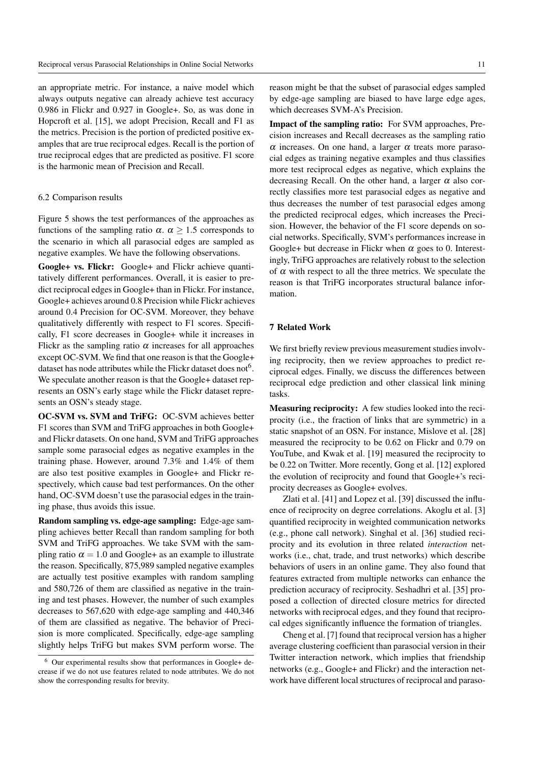an appropriate metric. For instance, a naive model which always outputs negative can already achieve test accuracy 0.986 in Flickr and 0.927 in Google+. So, as was done in Hopcroft et al. [15], we adopt Precision, Recall and F1 as the metrics. Precision is the portion of predicted positive examples that are true reciprocal edges. Recall is the portion of true reciprocal edges that are predicted as positive. F1 score is the harmonic mean of Precision and Recall.

#### 6.2 Comparison results

Figure 5 shows the test performances of the approaches as functions of the sampling ratio  $\alpha$ .  $\alpha \geq 1.5$  corresponds to the scenario in which all parasocial edges are sampled as negative examples. We have the following observations.

Google+ vs. Flickr: Google+ and Flickr achieve quantitatively different performances. Overall, it is easier to predict reciprocal edges in Google+ than in Flickr. For instance, Google+ achieves around 0.8 Precision while Flickr achieves around 0.4 Precision for OC-SVM. Moreover, they behave qualitatively differently with respect to F1 scores. Specifically, F1 score decreases in Google+ while it increases in Flickr as the sampling ratio  $\alpha$  increases for all approaches except OC-SVM. We find that one reason is that the Google+ dataset has node attributes while the Flickr dataset does not  $6$ . We speculate another reason is that the Google+ dataset represents an OSN's early stage while the Flickr dataset represents an OSN's steady stage.

OC-SVM vs. SVM and TriFG: OC-SVM achieves better F1 scores than SVM and TriFG approaches in both Google+ and Flickr datasets. On one hand, SVM and TriFG approaches sample some parasocial edges as negative examples in the training phase. However, around 7.3% and 1.4% of them are also test positive examples in Google+ and Flickr respectively, which cause bad test performances. On the other hand, OC-SVM doesn't use the parasocial edges in the training phase, thus avoids this issue.

Random sampling vs. edge-age sampling: Edge-age sampling achieves better Recall than random sampling for both SVM and TriFG approaches. We take SVM with the sampling ratio  $\alpha = 1.0$  and Google+ as an example to illustrate the reason. Specifically, 875,989 sampled negative examples are actually test positive examples with random sampling and 580,726 of them are classified as negative in the training and test phases. However, the number of such examples decreases to 567,620 with edge-age sampling and 440,346 of them are classified as negative. The behavior of Precision is more complicated. Specifically, edge-age sampling slightly helps TriFG but makes SVM perform worse. The reason might be that the subset of parasocial edges sampled by edge-age sampling are biased to have large edge ages, which decreases SVM-A's Precision.

Impact of the sampling ratio: For SVM approaches, Precision increases and Recall decreases as the sampling ratio  $\alpha$  increases. On one hand, a larger  $\alpha$  treats more parasocial edges as training negative examples and thus classifies more test reciprocal edges as negative, which explains the decreasing Recall. On the other hand, a larger  $\alpha$  also correctly classifies more test parasocial edges as negative and thus decreases the number of test parasocial edges among the predicted reciprocal edges, which increases the Precision. However, the behavior of the F1 score depends on social networks. Specifically, SVM's performances increase in Google+ but decrease in Flickr when  $\alpha$  goes to 0. Interestingly, TriFG approaches are relatively robust to the selection of  $\alpha$  with respect to all the three metrics. We speculate the reason is that TriFG incorporates structural balance information.

# 7 Related Work

We first briefly review previous measurement studies involving reciprocity, then we review approaches to predict reciprocal edges. Finally, we discuss the differences between reciprocal edge prediction and other classical link mining tasks.

Measuring reciprocity: A few studies looked into the reciprocity (i.e., the fraction of links that are symmetric) in a static snapshot of an OSN. For instance, Mislove et al. [28] measured the reciprocity to be 0.62 on Flickr and 0.79 on YouTube, and Kwak et al. [19] measured the reciprocity to be 0.22 on Twitter. More recently, Gong et al. [12] explored the evolution of reciprocity and found that Google+'s reciprocity decreases as Google+ evolves.

Zlati et al. [41] and Lopez et al. [39] discussed the influence of reciprocity on degree correlations. Akoglu et al. [3] quantified reciprocity in weighted communication networks (e.g., phone call network). Singhal et al. [36] studied reciprocity and its evolution in three related *interaction* networks (i.e., chat, trade, and trust networks) which describe behaviors of users in an online game. They also found that features extracted from multiple networks can enhance the prediction accuracy of reciprocity. Seshadhri et al. [35] proposed a collection of directed closure metrics for directed networks with reciprocal edges, and they found that reciprocal edges significantly influence the formation of triangles.

Cheng et al. [7] found that reciprocal version has a higher average clustering coefficient than parasocial version in their Twitter interaction network, which implies that friendship networks (e.g., Google+ and Flickr) and the interaction network have different local structures of reciprocal and paraso-

<sup>6</sup> Our experimental results show that performances in Google+ decrease if we do not use features related to node attributes. We do not show the corresponding results for brevity.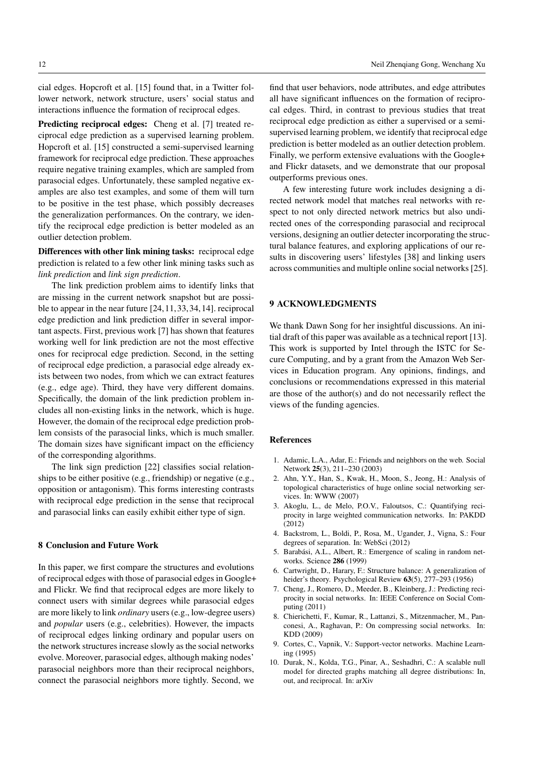cial edges. Hopcroft et al. [15] found that, in a Twitter follower network, network structure, users' social status and interactions influence the formation of reciprocal edges.

Predicting reciprocal edges: Cheng et al. [7] treated reciprocal edge prediction as a supervised learning problem. Hopcroft et al. [15] constructed a semi-supervised learning framework for reciprocal edge prediction. These approaches require negative training examples, which are sampled from parasocial edges. Unfortunately, these sampled negative examples are also test examples, and some of them will turn to be positive in the test phase, which possibly decreases the generalization performances. On the contrary, we identify the reciprocal edge prediction is better modeled as an outlier detection problem.

Differences with other link mining tasks: reciprocal edge prediction is related to a few other link mining tasks such as *link prediction* and *link sign prediction*.

The link prediction problem aims to identify links that are missing in the current network snapshot but are possible to appear in the near future [24, 11, 33, 34, 14]. reciprocal edge prediction and link prediction differ in several important aspects. First, previous work [7] has shown that features working well for link prediction are not the most effective ones for reciprocal edge prediction. Second, in the setting of reciprocal edge prediction, a parasocial edge already exists between two nodes, from which we can extract features (e.g., edge age). Third, they have very different domains. Specifically, the domain of the link prediction problem includes all non-existing links in the network, which is huge. However, the domain of the reciprocal edge prediction problem consists of the parasocial links, which is much smaller. The domain sizes have significant impact on the efficiency of the corresponding algorithms.

The link sign prediction [22] classifies social relationships to be either positive (e.g., friendship) or negative (e.g., opposition or antagonism). This forms interesting contrasts with reciprocal edge prediction in the sense that reciprocal and parasocial links can easily exhibit either type of sign.

## 8 Conclusion and Future Work

In this paper, we first compare the structures and evolutions of reciprocal edges with those of parasocial edges in Google+ and Flickr. We find that reciprocal edges are more likely to connect users with similar degrees while parasocial edges are more likely to link *ordinary* users (e.g., low-degree users) and *popular* users (e.g., celebrities). However, the impacts of reciprocal edges linking ordinary and popular users on the network structures increase slowly as the social networks evolve. Moreover, parasocial edges, although making nodes' parasocial neighbors more than their reciprocal neighbors, connect the parasocial neighbors more tightly. Second, we

find that user behaviors, node attributes, and edge attributes all have significant influences on the formation of reciprocal edges. Third, in contrast to previous studies that treat reciprocal edge prediction as either a supervised or a semisupervised learning problem, we identify that reciprocal edge prediction is better modeled as an outlier detection problem. Finally, we perform extensive evaluations with the Google+ and Flickr datasets, and we demonstrate that our proposal outperforms previous ones.

A few interesting future work includes designing a directed network model that matches real networks with respect to not only directed network metrics but also undirected ones of the corresponding parasocial and reciprocal versions, designing an outlier detecter incorporating the structural balance features, and exploring applications of our results in discovering users' lifestyles [38] and linking users across communities and multiple online social networks [25].

# 9 ACKNOWLEDGMENTS

We thank Dawn Song for her insightful discussions. An initial draft of this paper was available as a technical report [13]. This work is supported by Intel through the ISTC for Secure Computing, and by a grant from the Amazon Web Services in Education program. Any opinions, findings, and conclusions or recommendations expressed in this material are those of the author(s) and do not necessarily reflect the views of the funding agencies.

# References

- 1. Adamic, L.A., Adar, E.: Friends and neighbors on the web. Social Network 25(3), 211–230 (2003)
- 2. Ahn, Y.Y., Han, S., Kwak, H., Moon, S., Jeong, H.: Analysis of topological characteristics of huge online social networking services. In: WWW (2007)
- 3. Akoglu, L., de Melo, P.O.V., Faloutsos, C.: Quantifying reciprocity in large weighted communication networks. In: PAKDD (2012)
- 4. Backstrom, L., Boldi, P., Rosa, M., Ugander, J., Vigna, S.: Four degrees of separation. In: WebSci (2012)
- 5. Barabási, A.L., Albert, R.: Emergence of scaling in random networks. Science 286 (1999)
- 6. Cartwright, D., Harary, F.: Structure balance: A generalization of heider's theory. Psychological Review 63(5), 277–293 (1956)
- 7. Cheng, J., Romero, D., Meeder, B., Kleinberg, J.: Predicting reciprocity in social networks. In: IEEE Conference on Social Computing (2011)
- 8. Chierichetti, F., Kumar, R., Lattanzi, S., Mitzenmacher, M., Panconesi, A., Raghavan, P.: On compressing social networks. In: KDD (2009)
- 9. Cortes, C., Vapnik, V.: Support-vector networks. Machine Learning (1995)
- 10. Durak, N., Kolda, T.G., Pinar, A., Seshadhri, C.: A scalable null model for directed graphs matching all degree distributions: In, out, and reciprocal. In: arXiv